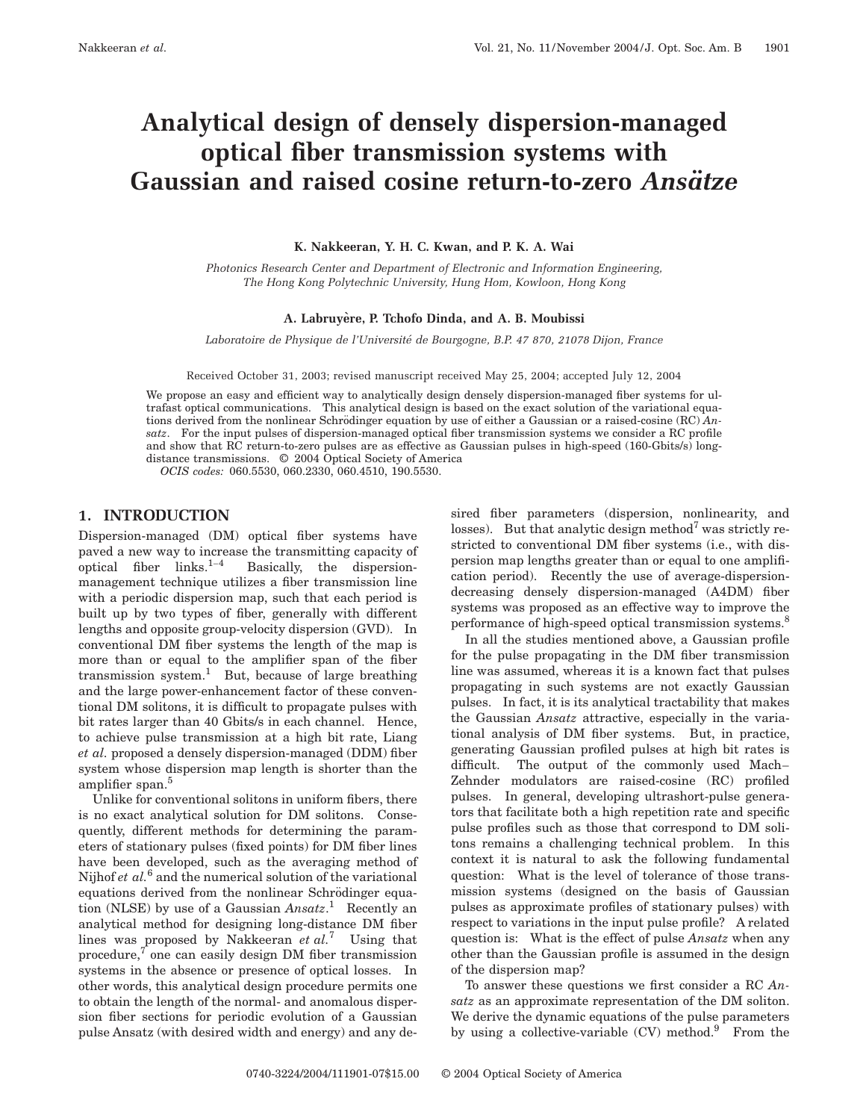# **Analytical design of densely dispersion-managed optical fiber transmission systems with Gaussian and raised cosine return-to-zero Ansätze**

**K. Nakkeeran, Y. H. C. Kwan, and P. K. A. Wai**

*Photonics Research Center and Department of Electronic and Information Engineering, The Hong Kong Polytechnic University, Hung Hom, Kowloon, Hong Kong*

## **A. Labruye`re, P. Tchofo Dinda, and A. B. Moubissi**

*Laboratoire de Physique de l'Universite´ de Bourgogne, B.P. 47 870, 21078 Dijon, France*

Received October 31, 2003; revised manuscript received May 25, 2004; accepted July 12, 2004

We propose an easy and efficient way to analytically design densely dispersion-managed fiber systems for ultrafast optical communications. This analytical design is based on the exact solution of the variational equations derived from the nonlinear Schrödinger equation by use of either a Gaussian or a raised-cosine (RC) *Ansatz*. For the input pulses of dispersion-managed optical fiber transmission systems we consider a RC profile and show that RC return-to-zero pulses are as effective as Gaussian pulses in high-speed (160-Gbits/s) longdistance transmissions. © 2004 Optical Society of America

*OCIS codes:* 060.5530, 060.2330, 060.4510, 190.5530.

# **1. INTRODUCTION**

Dispersion-managed (DM) optical fiber systems have paved a new way to increase the transmitting capacity of optical fiber  $\text{links}$ .<sup>1–4</sup> Basically, the dispersionmanagement technique utilizes a fiber transmission line with a periodic dispersion map, such that each period is built up by two types of fiber, generally with different lengths and opposite group-velocity dispersion (GVD). In conventional DM fiber systems the length of the map is more than or equal to the amplifier span of the fiber transmission system.<sup>1</sup> But, because of large breathing and the large power-enhancement factor of these conventional DM solitons, it is difficult to propagate pulses with bit rates larger than 40 Gbits/s in each channel. Hence, to achieve pulse transmission at a high bit rate, Liang *et al.* proposed a densely dispersion-managed (DDM) fiber system whose dispersion map length is shorter than the amplifier span.<sup>5</sup>

Unlike for conventional solitons in uniform fibers, there is no exact analytical solution for DM solitons. Consequently, different methods for determining the parameters of stationary pulses (fixed points) for DM fiber lines have been developed, such as the averaging method of Nijhof *et al.*<sup>6</sup> and the numerical solution of the variational equations derived from the nonlinear Schrödinger equation (NLSE) by use of a Gaussian *Ansatz*. <sup>1</sup> Recently an analytical method for designing long-distance DM fiber lines was proposed by Nakkeeran *et al.*<sup>7</sup> Using that procedure, $7$  one can easily design DM fiber transmission systems in the absence or presence of optical losses. In other words, this analytical design procedure permits one to obtain the length of the normal- and anomalous dispersion fiber sections for periodic evolution of a Gaussian pulse Ansatz (with desired width and energy) and any desired fiber parameters (dispersion, nonlinearity, and losses). But that analytic design method<sup>7</sup> was strictly restricted to conventional DM fiber systems (i.e., with dispersion map lengths greater than or equal to one amplification period). Recently the use of average-dispersiondecreasing densely dispersion-managed (A4DM) fiber systems was proposed as an effective way to improve the performance of high-speed optical transmission systems.<sup>8</sup>

In all the studies mentioned above, a Gaussian profile for the pulse propagating in the DM fiber transmission line was assumed, whereas it is a known fact that pulses propagating in such systems are not exactly Gaussian pulses. In fact, it is its analytical tractability that makes the Gaussian *Ansatz* attractive, especially in the variational analysis of DM fiber systems. But, in practice, generating Gaussian profiled pulses at high bit rates is difficult. The output of the commonly used Mach– Zehnder modulators are raised-cosine (RC) profiled pulses. In general, developing ultrashort-pulse generators that facilitate both a high repetition rate and specific pulse profiles such as those that correspond to DM solitons remains a challenging technical problem. In this context it is natural to ask the following fundamental question: What is the level of tolerance of those transmission systems (designed on the basis of Gaussian pulses as approximate profiles of stationary pulses) with respect to variations in the input pulse profile? A related question is: What is the effect of pulse *Ansatz* when any other than the Gaussian profile is assumed in the design of the dispersion map?

To answer these questions we first consider a RC *Ansatz* as an approximate representation of the DM soliton. We derive the dynamic equations of the pulse parameters by using a collective-variable  $(CV)$  method.<sup>9</sup> From the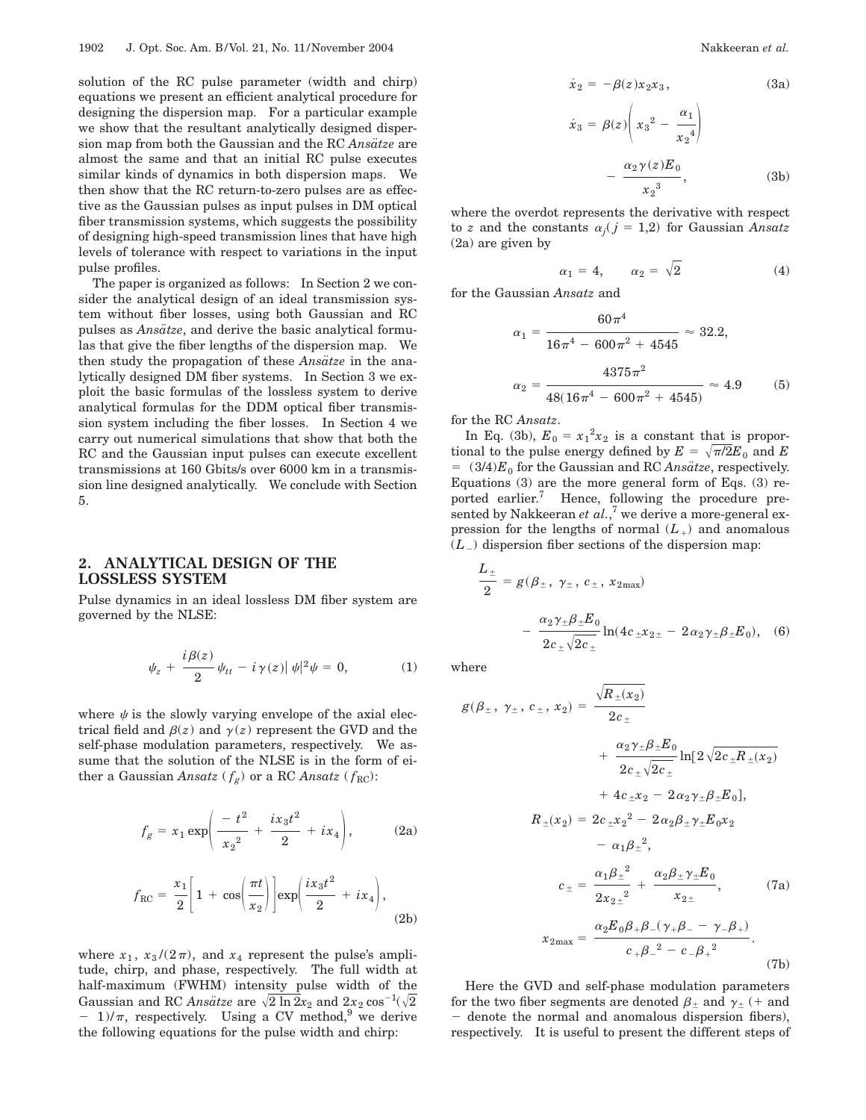solution of the RC pulse parameter (width and chirp) equations we present an efficient analytical procedure for designing the dispersion map. For a particular example we show that the resultant analytically designed dispersion map from both the Gaussian and the RC *Ansatze* are almost the same and that an initial RC pulse executes similar kinds of dynamics in both dispersion maps. We then show that the RC return-to-zero pulses are as effective as the Gaussian pulses as input pulses in DM optical fiber transmission systems, which suggests the possibility of designing high-speed transmission lines that have high levels of tolerance with respect to variations in the input pulse profiles.

The paper is organized as follows: In Section 2 we consider the analytical design of an ideal transmission system without fiber losses, using both Gaussian and RC pulses as *Ansätze*, and derive the basic analytical formulas that give the fiber lengths of the dispersion map. We then study the propagation of these *Ansatze* in the analytically designed DM fiber systems. In Section 3 we exploit the basic formulas of the lossless system to derive analytical formulas for the DDM optical fiber transmission system including the fiber losses. In Section 4 we carry out numerical simulations that show that both the RC and the Gaussian input pulses can execute excellent transmissions at 160 Gbits/s over 6000 km in a transmission line designed analytically. We conclude with Section 5.

## **2. ANALYTICAL DESIGN OF THE LOSSLESS SYSTEM**

Pulse dynamics in an ideal lossless DM fiber system are governed by the NLSE:

$$
\psi_z + \frac{i\beta(z)}{2} \psi_{tt} - i\gamma(z) |\psi|^2 \psi = 0, \tag{1}
$$

where  $\psi$  is the slowly varying envelope of the axial electrical field and  $\beta(z)$  and  $\gamma(z)$  represent the GVD and the self-phase modulation parameters, respectively. We assume that the solution of the NLSE is in the form of either a Gaussian  $Ansatz$   $({f_{\it g}})$  or a RC  $Ansatz$   $({f_{\rm RC}})$  :

$$
f_g = x_1 \exp\left(\frac{-t^2}{x_2^2} + \frac{ix_3t^2}{2} + ix_4\right),\tag{2a}
$$

$$
f_{\rm RC} = \frac{x_1}{2} \bigg[ 1 + \cos\bigg(\frac{\pi t}{x_2}\bigg) \bigg] \exp\bigg(\frac{i x_3 t^2}{2} + i x_4\bigg),\tag{2b}
$$

where  $x_1$ ,  $x_3/(2\pi)$ , and  $x_4$  represent the pulse's amplitude, chirp, and phase, respectively. The full width at half-maximum (FWHM) intensity pulse width of the Gaussian and RC *Ansatze* are  $\sqrt{2 \ln 2} x_2$  and  $2x_2 \cos^{-1}(\sqrt{2})$  $-1/\pi$ , respectively. Using a CV method,<sup>9</sup> we derive the following equations for the pulse width and chirp:

$$
\dot{x}_2 = -\beta(z)x_2x_3,\tag{3a}
$$

$$
\dot{x}_3 = \beta(z) \left( x_3^2 - \frac{\alpha_1}{x_2^4} \right)
$$

$$
- \frac{\alpha_2 \gamma(z) E_0}{x_2^3}, \tag{3b}
$$

where the overdot represents the derivative with respect to *z* and the constants  $\alpha_i$  ( $j = 1,2$ ) for Gaussian *Ansatz* (2a) are given by

$$
\alpha_1 = 4, \qquad \alpha_2 = \sqrt{2} \tag{4}
$$

for the Gaussian *Ansatz* and

$$
\alpha_1 = \frac{60\pi^4}{16\pi^4 - 600\pi^2 + 4545} \approx 32.2,
$$
  

$$
\alpha_2 = \frac{4375\pi^2}{48(16\pi^4 - 600\pi^2 + 4545)} \approx 4.9
$$
 (5)

for the RC *Ansatz*.

In Eq. (3b),  $E_0 = x_1^2 x_2$  is a constant that is proportional to the pulse energy defined by  $E = \sqrt{\pi/2}E_0$  and *E*  $= (3/4)E_0$  for the Gaussian and RC *Ansätze*, respectively. Equations (3) are the more general form of Eqs. (3) reported earlier.<sup>7</sup> Hence, following the procedure presented by Nakkeeran *et al.*,<sup>7</sup> we derive a more-general expression for the lengths of normal  $(L<sub>+</sub>)$  and anomalous  $(L_+)$  dispersion fiber sections of the dispersion map:

$$
\frac{L_{\pm}}{2} = g(\beta_{\pm}, \gamma_{\pm}, c_{\pm}, x_{2\text{max}})
$$

$$
- \frac{\alpha_2 \gamma_{\pm} \beta_{\pm} E_0}{2c_{\pm} \sqrt{2c_{\pm}}} \ln(4c_{\pm} x_{2\pm} - 2\alpha_2 \gamma_{\pm} \beta_{\pm} E_0), \quad (6)
$$

where

$$
g(\beta_{\pm}, \gamma_{\pm}, c_{\pm}, x_2) = \frac{\sqrt{R_{\pm}(x_2)}}{2c_{\pm}} \n+ \frac{\alpha_2 \gamma_{\pm} \beta_{\pm} E_0}{2c_{\pm} \sqrt{2c_{\pm}}} \ln[2 \sqrt{2c_{\pm} R_{\pm}(x_2)}] \n+ 4c_{\pm} x_2 - 2 \alpha_2 \gamma_{\pm} \beta_{\pm} E_0], \nR_{\pm}(x_2) = 2c_{\pm} x_2^2 - 2 \alpha_2 \beta_{\pm} \gamma_{\pm} E_0 x_2 \n- \alpha_1 \beta_{\pm}^2, \n c_{\pm} = \frac{\alpha_1 \beta_{\pm}^2}{2x_{2\pm}^2} + \frac{\alpha_2 \beta_{\pm} \gamma_{\pm} E_0}{x_{2\pm}}, \qquad (7a) \n x_{2\text{max}} = \frac{\alpha_2 E_0 \beta_{\pm} \beta_{\mp} (\gamma_{\mp} \beta_{\mp} - \gamma_{\mp} \beta_{\mp})}{c_{\mp} \beta_{\mp}^2 - c_{\mp} \beta_{\mp}^2}.
$$

$$
(7b)
$$

Here the GVD and self-phase modulation parameters for the two fiber segments are denoted  $\beta_{\pm}$  and  $\gamma_{\pm}$  (+ and - denote the normal and anomalous dispersion fibers), respectively. It is useful to present the different steps of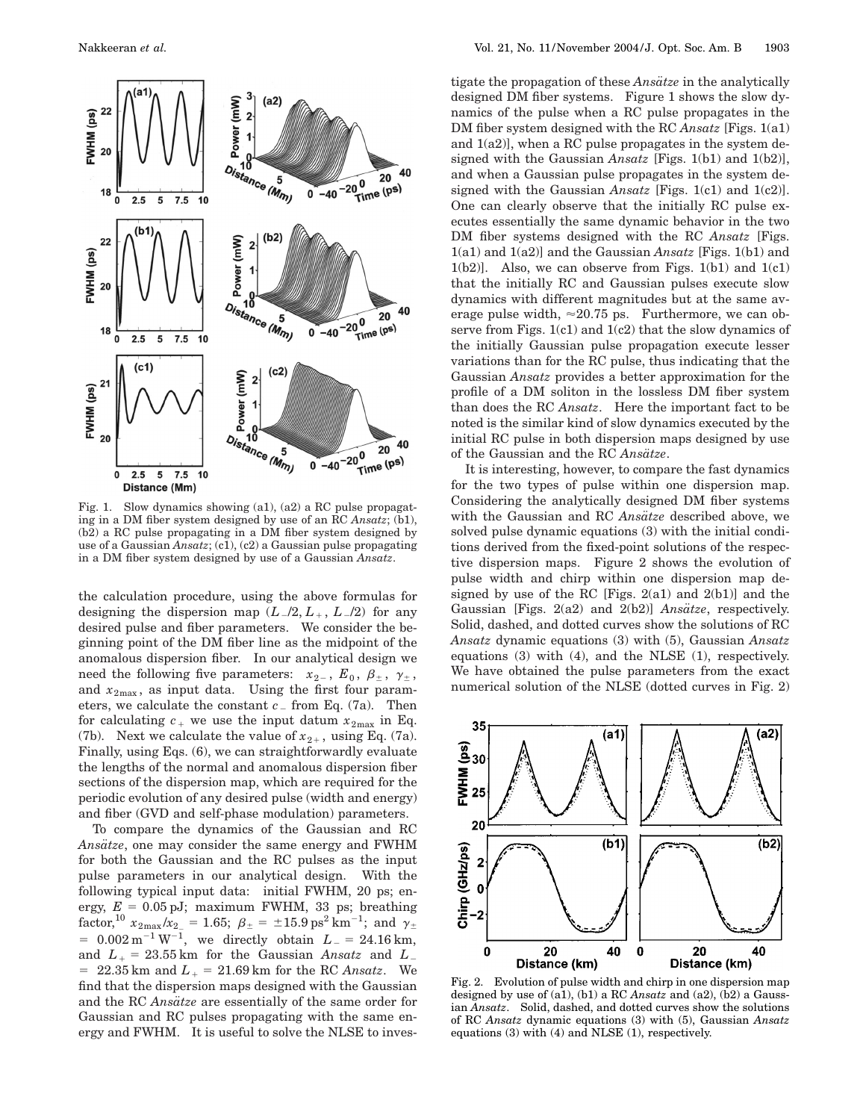

Fig. 1. Slow dynamics showing (a1), (a2) a RC pulse propagating in a DM fiber system designed by use of an RC *Ansatz*; (b1), (b2) a RC pulse propagating in a DM fiber system designed by use of a Gaussian *Ansatz*; (c1), (c2) a Gaussian pulse propagating in a DM fiber system designed by use of a Gaussian *Ansatz*.

the calculation procedure, using the above formulas for designing the dispersion map  $(L_2/L_+, L_2/2)$  for any desired pulse and fiber parameters. We consider the beginning point of the DM fiber line as the midpoint of the anomalous dispersion fiber. In our analytical design we need the following five parameters:  $x_{2-}$ ,  $E_0$ ,  $\beta_{\pm}$ ,  $\gamma_{\pm}$ , and  $x_{2\text{max}}$ , as input data. Using the first four parameters, we calculate the constant  $c_{-}$  from Eq. (7a). Then for calculating  $c_+$  we use the input datum  $x_{2\text{max}}$  in Eq. (7b). Next we calculate the value of  $x_{2+}$ , using Eq. (7a). Finally, using Eqs. (6), we can straightforwardly evaluate the lengths of the normal and anomalous dispersion fiber sections of the dispersion map, which are required for the periodic evolution of any desired pulse (width and energy) and fiber (GVD and self-phase modulation) parameters.

To compare the dynamics of the Gaussian and RC *Ansa¨tze*, one may consider the same energy and FWHM for both the Gaussian and the RC pulses as the input pulse parameters in our analytical design. With the following typical input data: initial FWHM, 20 ps; energy,  $E = 0.05$  pJ; maximum FWHM, 33 ps; breathing  ${\rm factor,}^{10}~x_{2\rm max}/x_{2\rm max} = 1.65;~\beta_\pm = \pm 15.9~{\rm ps^2~km^{-1}};~{\rm and}~~\gamma_\pm$  $= 0.002 \,\mathrm{m}^{-1}\,\mathrm{W}^{-1}$ , we directly obtain  $L_{-} = 24.16 \,\mathrm{km}$ , and  $L_{+} = 23.55$  km for the Gaussian *Ansatz* and  $L_{-}$  $= 22.35$  km and  $L_{+} = 21.69$  km for the RC *Ansatz*. We find that the dispersion maps designed with the Gaussian and the RC *Ansätze* are essentially of the same order for Gaussian and RC pulses propagating with the same energy and FWHM. It is useful to solve the NLSE to investigate the propagation of these *Ansatze* in the analytically designed DM fiber systems. Figure 1 shows the slow dynamics of the pulse when a RC pulse propagates in the DM fiber system designed with the RC *Ansatz* [Figs. 1(a1) and 1(a2)], when a RC pulse propagates in the system designed with the Gaussian *Ansatz* [Figs. 1(b1) and 1(b2)], and when a Gaussian pulse propagates in the system designed with the Gaussian *Ansatz* [Figs. 1(c1) and 1(c2)]. One can clearly observe that the initially RC pulse executes essentially the same dynamic behavior in the two DM fiber systems designed with the RC *Ansatz* [Figs. 1(a1) and 1(a2)] and the Gaussian *Ansatz* [Figs. 1(b1) and  $1(b2)$ ]. Also, we can observe from Figs.  $1(b1)$  and  $1(c1)$ that the initially RC and Gaussian pulses execute slow dynamics with different magnitudes but at the same average pulse width,  $\approx 20.75$  ps. Furthermore, we can observe from Figs. 1(c1) and 1(c2) that the slow dynamics of the initially Gaussian pulse propagation execute lesser variations than for the RC pulse, thus indicating that the Gaussian *Ansatz* provides a better approximation for the profile of a DM soliton in the lossless DM fiber system than does the RC *Ansatz*. Here the important fact to be noted is the similar kind of slow dynamics executed by the initial RC pulse in both dispersion maps designed by use of the Gaussian and the RC *Ansätze*.

It is interesting, however, to compare the fast dynamics for the two types of pulse within one dispersion map. Considering the analytically designed DM fiber systems with the Gaussian and RC *Ansätze* described above, we solved pulse dynamic equations (3) with the initial conditions derived from the fixed-point solutions of the respective dispersion maps. Figure 2 shows the evolution of pulse width and chirp within one dispersion map designed by use of the RC [Figs. 2(a1) and 2(b1)] and the Gaussian [Figs. 2(a2) and 2(b2)] *Ansätze*, respectively. Solid, dashed, and dotted curves show the solutions of RC *Ansatz* dynamic equations (3) with (5), Gaussian *Ansatz* equations (3) with (4), and the NLSE (1), respectively. We have obtained the pulse parameters from the exact numerical solution of the NLSE (dotted curves in Fig. 2)



Fig. 2. Evolution of pulse width and chirp in one dispersion map designed by use of (a1), (b1) a RC *Ansatz* and (a2), (b2) a Gaussian *Ansatz*. Solid, dashed, and dotted curves show the solutions of RC *Ansatz* dynamic equations (3) with (5), Gaussian *Ansatz* equations (3) with (4) and NLSE (1), respectively.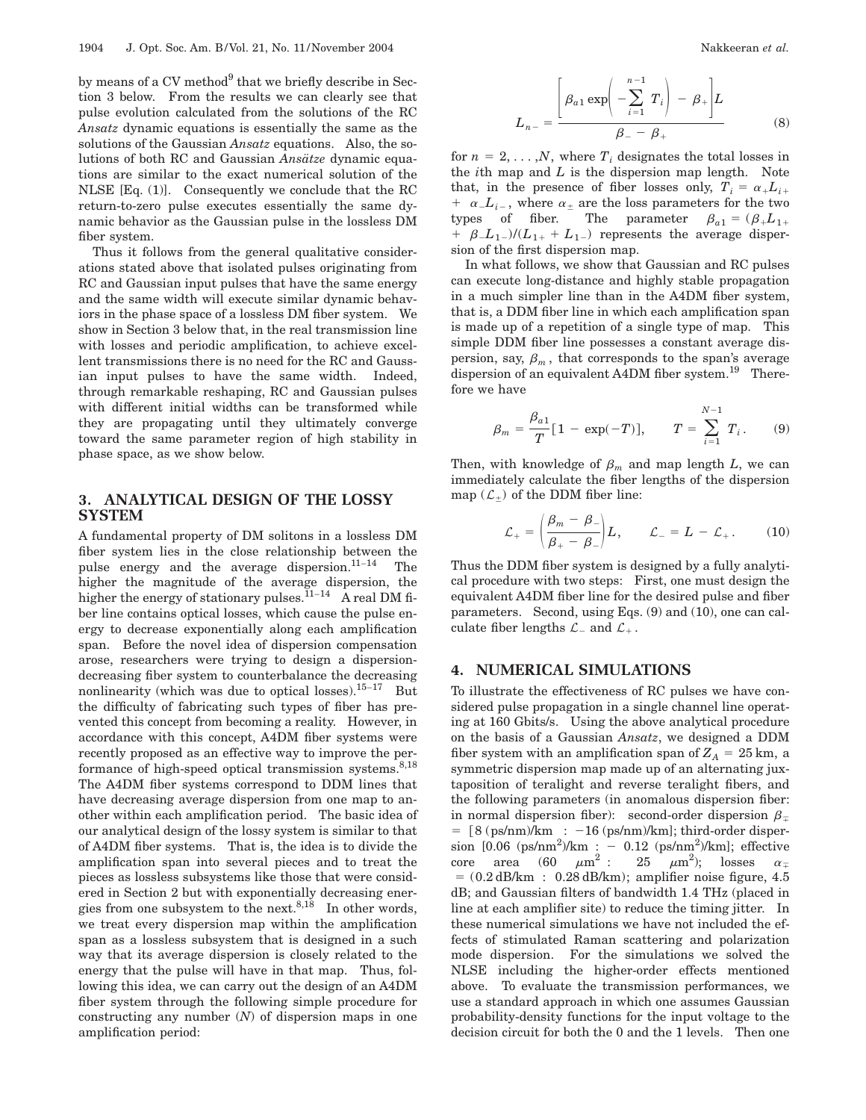by means of a  $CV$  method $9$  that we briefly describe in Section 3 below. From the results we can clearly see that pulse evolution calculated from the solutions of the RC *Ansatz* dynamic equations is essentially the same as the solutions of the Gaussian *Ansatz* equations. Also, the solutions of both RC and Gaussian *Ansätze* dynamic equations are similar to the exact numerical solution of the NLSE [Eq. (1)]. Consequently we conclude that the RC return-to-zero pulse executes essentially the same dynamic behavior as the Gaussian pulse in the lossless DM fiber system.

Thus it follows from the general qualitative considerations stated above that isolated pulses originating from RC and Gaussian input pulses that have the same energy and the same width will execute similar dynamic behaviors in the phase space of a lossless DM fiber system. We show in Section 3 below that, in the real transmission line with losses and periodic amplification, to achieve excellent transmissions there is no need for the RC and Gaussian input pulses to have the same width. Indeed, through remarkable reshaping, RC and Gaussian pulses with different initial widths can be transformed while they are propagating until they ultimately converge toward the same parameter region of high stability in phase space, as we show below.

# **3. ANALYTICAL DESIGN OF THE LOSSY SYSTEM**

A fundamental property of DM solitons in a lossless DM fiber system lies in the close relationship between the pulse energy and the average dispersion. $11-14$  The higher the magnitude of the average dispersion, the higher the energy of stationary pulses.<sup> $11-14$ </sup> A real DM fiber line contains optical losses, which cause the pulse energy to decrease exponentially along each amplification span. Before the novel idea of dispersion compensation arose, researchers were trying to design a dispersiondecreasing fiber system to counterbalance the decreasing nonlinearity (which was due to optical losses).<sup>15–17</sup> But the difficulty of fabricating such types of fiber has prevented this concept from becoming a reality. However, in accordance with this concept, A4DM fiber systems were recently proposed as an effective way to improve the performance of high-speed optical transmission systems. $8,18$ The A4DM fiber systems correspond to DDM lines that have decreasing average dispersion from one map to another within each amplification period. The basic idea of our analytical design of the lossy system is similar to that of A4DM fiber systems. That is, the idea is to divide the amplification span into several pieces and to treat the pieces as lossless subsystems like those that were considered in Section 2 but with exponentially decreasing energies from one subsystem to the next.<sup>8,18</sup> In other words, we treat every dispersion map within the amplification span as a lossless subsystem that is designed in a such way that its average dispersion is closely related to the energy that the pulse will have in that map. Thus, following this idea, we can carry out the design of an A4DM fiber system through the following simple procedure for constructing any number (*N*) of dispersion maps in one amplification period:

$$
L_{n-} = \frac{\left[\beta_{a1} \exp\left(-\sum_{i=1}^{n-1} T_i\right) - \beta_+\right]L}{\beta_- - \beta_+}
$$
(8)

for  $n = 2, \ldots, N$ , where  $T_i$  designates the total losses in the *i*th map and *L* is the dispersion map length. Note that, in the presence of fiber losses only,  $T_i = \alpha_+ L_{i+1}$  $+ \alpha_{-}L_{i-}$ , where  $\alpha_{\pm}$  are the loss parameters for the two types of fiber. The parameter  $\beta_{a1} = (\beta_+ L_{1+})$  $\beta$ *L*<sub>1-</sub> $)/(L_{1+} + L_{1-})$  represents the average dispersion of the first dispersion map.

In what follows, we show that Gaussian and RC pulses can execute long-distance and highly stable propagation in a much simpler line than in the A4DM fiber system, that is, a DDM fiber line in which each amplification span is made up of a repetition of a single type of map. This simple DDM fiber line possesses a constant average dispersion, say,  $\beta_m$ , that corresponds to the span's average dispersion of an equivalent A4DM fiber system.<sup>19</sup> Therefore we have

$$
\beta_m = \frac{\beta_{a1}}{T} [1 - \exp(-T)], \qquad T = \sum_{i=1}^{N-1} T_i. \tag{9}
$$

Then, with knowledge of  $\beta_m$  and map length *L*, we can immediately calculate the fiber lengths of the dispersion map  $(\mathcal{L}_+)$  of the DDM fiber line:

$$
\mathcal{L}_{+} = \left(\frac{\beta_m - \beta_-}{\beta_+ - \beta_-}\right) L, \qquad \mathcal{L}_{-} = L - \mathcal{L}_{+}.
$$
 (10)

Thus the DDM fiber system is designed by a fully analytical procedure with two steps: First, one must design the equivalent A4DM fiber line for the desired pulse and fiber parameters. Second, using Eqs. (9) and (10), one can calculate fiber lengths  $\mathcal{L}_-$  and  $\mathcal{L}_+$ .

### **4. NUMERICAL SIMULATIONS**

To illustrate the effectiveness of RC pulses we have considered pulse propagation in a single channel line operating at 160 Gbits/s. Using the above analytical procedure on the basis of a Gaussian *Ansatz*, we designed a DDM fiber system with an amplification span of  $Z_A = 25$  km, a symmetric dispersion map made up of an alternating juxtaposition of teralight and reverse teralight fibers, and the following parameters (in anomalous dispersion fiber: in normal dispersion fiber): second-order dispersion  $\beta$  $=$  [8 (ps/nm)/km :  $-16$  (ps/nm)/km]; third-order dispersion  $[0.06 \text{ (ps/nm}^2) / \text{km}$  : - 0.12 (ps/nm<sup>2</sup>)/km]; effective  $\text{core} \quad \text{area} \quad (60 \quad \mu\text{m}^2 \, : \quad 25 \quad \mu\text{m}^2); \quad \text{losses} \quad \alpha_{\mp}$  $= (0.2$  dB/km :  $0.28$  dB/km); amplifier noise figure, 4.5 dB; and Gaussian filters of bandwidth 1.4 THz (placed in line at each amplifier site) to reduce the timing jitter. In these numerical simulations we have not included the effects of stimulated Raman scattering and polarization mode dispersion. For the simulations we solved the NLSE including the higher-order effects mentioned above. To evaluate the transmission performances, we use a standard approach in which one assumes Gaussian probability-density functions for the input voltage to the decision circuit for both the 0 and the 1 levels. Then one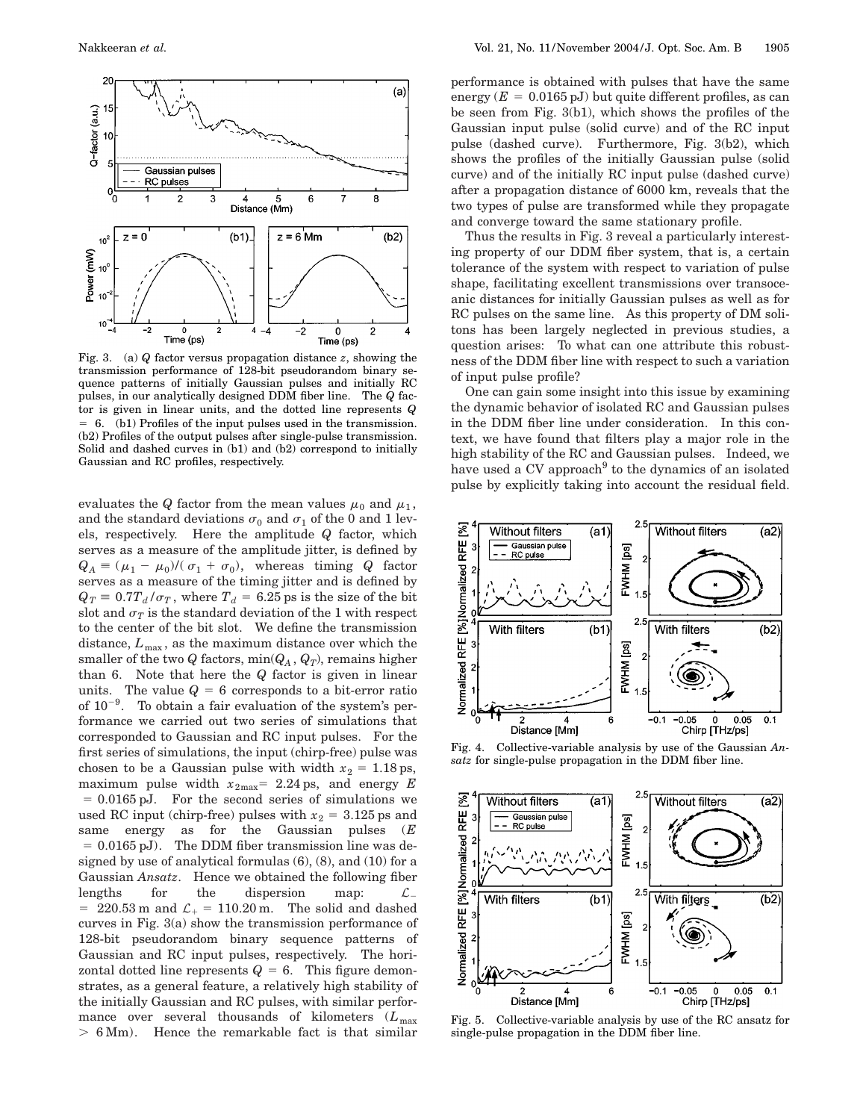

Fig. 3. (a) *Q* factor versus propagation distance *z*, showing the transmission performance of 128-bit pseudorandom binary sequence patterns of initially Gaussian pulses and initially RC pulses, in our analytically designed DDM fiber line. The *Q* factor is given in linear units, and the dotted line represents *Q*  $= 6.$  (b1) Profiles of the input pulses used in the transmission. (b2) Profiles of the output pulses after single-pulse transmission. Solid and dashed curves in (b1) and (b2) correspond to initially Gaussian and RC profiles, respectively.

evaluates the *Q* factor from the mean values  $\mu_0$  and  $\mu_1$ , and the standard deviations  $\sigma_0$  and  $\sigma_1$  of the 0 and 1 levels, respectively. Here the amplitude *Q* factor, which serves as a measure of the amplitude jitter, is defined by  $Q_A = (\mu_1 - \mu_0)/(\sigma_1 + \sigma_0)$ , whereas timing *Q* factor serves as a measure of the timing jitter and is defined by  $Q_T \equiv 0.7T_d/\sigma_T$ , where  $T_d = 6.25$  ps is the size of the bit slot and  $\sigma_T$  is the standard deviation of the 1 with respect to the center of the bit slot. We define the transmission distance,  $L_{\text{max}}$ , as the maximum distance over which the smaller of the two *Q* factors,  $min(Q_A, Q_T)$ , remains higher than 6. Note that here the *Q* factor is given in linear units. The value  $Q = 6$  corresponds to a bit-error ratio of  $10^{-9}$ . To obtain a fair evaluation of the system's performance we carried out two series of simulations that corresponded to Gaussian and RC input pulses. For the first series of simulations, the input (chirp-free) pulse was chosen to be a Gaussian pulse with width  $x_2 = 1.18$  ps, maximum pulse width  $x_{2\text{max}}$  = 2.24 ps, and energy *E*  $= 0.0165$  pJ. For the second series of simulations we used RC input (chirp-free) pulses with  $x_2 = 3.125$  ps and same energy as for the Gaussian pulses (*E*  $= 0.0165$  pJ). The DDM fiber transmission line was designed by use of analytical formulas (6), (8), and (10) for a Gaussian *Ansatz*. Hence we obtained the following fiber lengths for the dispersion map:  $\mathcal{L}_{-}$  $= 220.53 \text{ m}$  and  $\mathcal{L}_+ = 110.20 \text{ m}$ . The solid and dashed curves in Fig. 3(a) show the transmission performance of 128-bit pseudorandom binary sequence patterns of Gaussian and RC input pulses, respectively. The horizontal dotted line represents  $Q = 6$ . This figure demonstrates, as a general feature, a relatively high stability of the initially Gaussian and RC pulses, with similar performance over several thousands of kilometers ( $L_{\text{max}}$  $> 6$  Mm). Hence the remarkable fact is that similar

performance is obtained with pulses that have the same energy  $(E = 0.0165 \text{ pJ})$  but quite different profiles, as can be seen from Fig. 3(b1), which shows the profiles of the Gaussian input pulse (solid curve) and of the RC input pulse (dashed curve). Furthermore, Fig. 3(b2), which shows the profiles of the initially Gaussian pulse (solid curve) and of the initially RC input pulse (dashed curve) after a propagation distance of 6000 km, reveals that the two types of pulse are transformed while they propagate and converge toward the same stationary profile.

Thus the results in Fig. 3 reveal a particularly interesting property of our DDM fiber system, that is, a certain tolerance of the system with respect to variation of pulse shape, facilitating excellent transmissions over transoceanic distances for initially Gaussian pulses as well as for RC pulses on the same line. As this property of DM solitons has been largely neglected in previous studies, a question arises: To what can one attribute this robustness of the DDM fiber line with respect to such a variation of input pulse profile?

One can gain some insight into this issue by examining the dynamic behavior of isolated RC and Gaussian pulses in the DDM fiber line under consideration. In this context, we have found that filters play a major role in the high stability of the RC and Gaussian pulses. Indeed, we have used a CV approach<sup>9</sup> to the dynamics of an isolated pulse by explicitly taking into account the residual field.



Fig. 4. Collective-variable analysis by use of the Gaussian *Ansatz* for single-pulse propagation in the DDM fiber line.



Fig. 5. Collective-variable analysis by use of the RC ansatz for single-pulse propagation in the DDM fiber line.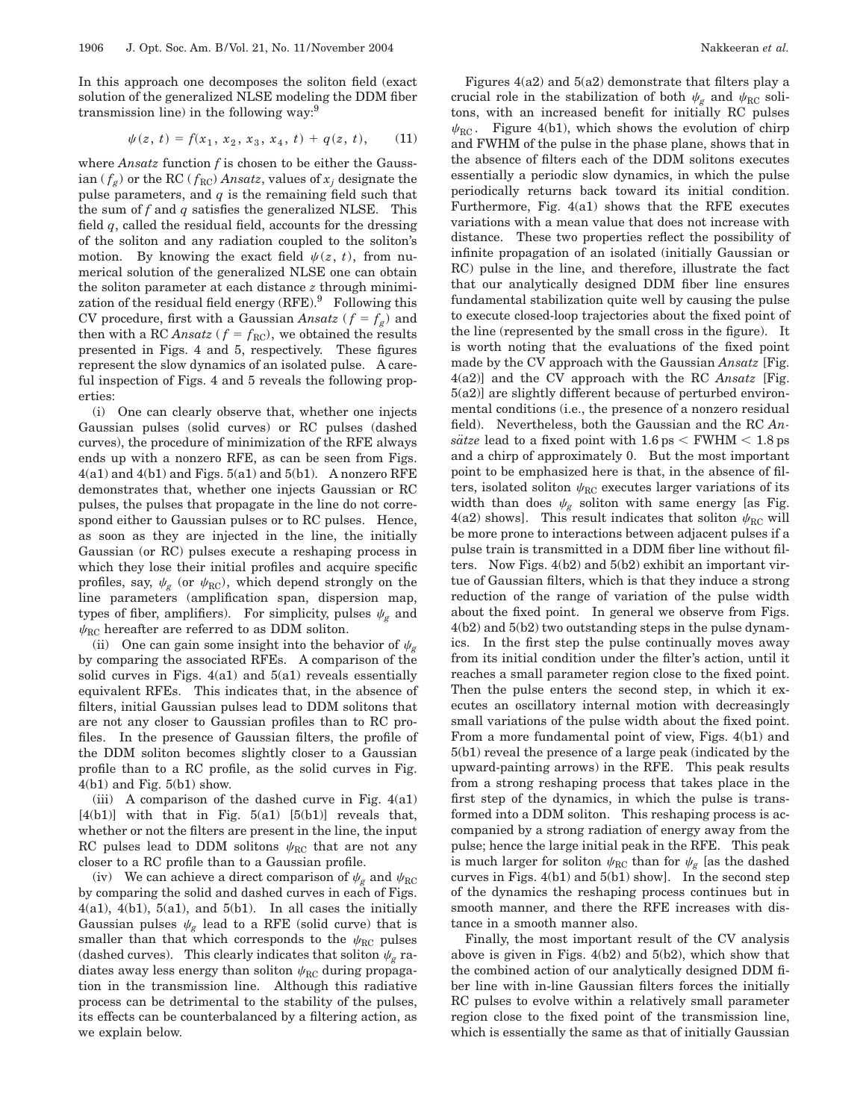In this approach one decomposes the soliton field (exact solution of the generalized NLSE modeling the DDM fiber transmission line) in the following way:9

$$
\psi(z, t) = f(x_1, x_2, x_3, x_4, t) + q(z, t), \qquad (11)
$$

where *Ansatz* function *f* is chosen to be either the Gaussian  $(f_g)$  or the RC  $(f_{RC})$  *Ansatz*, values of  $x_i$  designate the pulse parameters, and *q* is the remaining field such that the sum of  $f$  and  $q$  satisfies the generalized NLSE. This field *q*, called the residual field, accounts for the dressing of the soliton and any radiation coupled to the soliton's motion. By knowing the exact field  $\psi(z, t)$ , from numerical solution of the generalized NLSE one can obtain the soliton parameter at each distance *z* through minimization of the residual field energy  $(RFE)$ .<sup>9</sup> Following this CV procedure, first with a Gaussian *Ansatz* ( $f = f_g$ ) and then with a RC *Ansatz* ( $f = f_{\text{RC}}$ ), we obtained the results presented in Figs. 4 and 5, respectively. These figures represent the slow dynamics of an isolated pulse. A careful inspection of Figs. 4 and 5 reveals the following properties:

(i) One can clearly observe that, whether one injects Gaussian pulses (solid curves) or RC pulses (dashed curves), the procedure of minimization of the RFE always ends up with a nonzero RFE, as can be seen from Figs.  $4(a1)$  and  $4(b1)$  and Figs.  $5(a1)$  and  $5(b1)$ . A nonzero RFE demonstrates that, whether one injects Gaussian or RC pulses, the pulses that propagate in the line do not correspond either to Gaussian pulses or to RC pulses. Hence, as soon as they are injected in the line, the initially Gaussian (or RC) pulses execute a reshaping process in which they lose their initial profiles and acquire specific profiles, say,  $\psi_{g}$  (or  $\psi_{\text{RC}}$ ), which depend strongly on the line parameters (amplification span, dispersion map, types of fiber, amplifiers). For simplicity, pulses  $\psi_g$  and  $\psi_{\text{RC}}$  hereafter are referred to as DDM soliton.

(ii) One can gain some insight into the behavior of  $\psi$ <sub>p</sub> by comparing the associated RFEs. A comparison of the solid curves in Figs.  $4(a1)$  and  $5(a1)$  reveals essentially equivalent RFEs. This indicates that, in the absence of filters, initial Gaussian pulses lead to DDM solitons that are not any closer to Gaussian profiles than to RC profiles. In the presence of Gaussian filters, the profile of the DDM soliton becomes slightly closer to a Gaussian profile than to a RC profile, as the solid curves in Fig.  $4(b1)$  and Fig.  $5(b1)$  show.

(iii) A comparison of the dashed curve in Fig. 4(a1)  $[4(b1)]$  with that in Fig.  $5(a1)$   $[5(b1)]$  reveals that, whether or not the filters are present in the line, the input RC pulses lead to DDM solitons  $\psi_{\text{RC}}$  that are not any closer to a RC profile than to a Gaussian profile.

(iv) We can achieve a direct comparison of  $\psi_g$  and  $\psi_{\text{RC}}$ by comparing the solid and dashed curves in each of Figs.  $4(a1)$ ,  $4(b1)$ ,  $5(a1)$ , and  $5(b1)$ . In all cases the initially Gaussian pulses  $\psi_g$  lead to a RFE (solid curve) that is smaller than that which corresponds to the  $\psi_{\rm RC}$  pulses (dashed curves). This clearly indicates that soliton  $\psi_g$  radiates away less energy than soliton  $\psi_{\text{RC}}$  during propagation in the transmission line. Although this radiative process can be detrimental to the stability of the pulses, its effects can be counterbalanced by a filtering action, as we explain below.

Figures 4(a2) and 5(a2) demonstrate that filters play a crucial role in the stabilization of both  $\psi_{g}$  and  $\psi_{\text{RC}}$  solitons, with an increased benefit for initially RC pulses  $\psi_{\text{RC}}$ . Figure 4(b1), which shows the evolution of chirp and FWHM of the pulse in the phase plane, shows that in the absence of filters each of the DDM solitons executes essentially a periodic slow dynamics, in which the pulse periodically returns back toward its initial condition. Furthermore, Fig. 4(a1) shows that the RFE executes variations with a mean value that does not increase with distance. These two properties reflect the possibility of infinite propagation of an isolated (initially Gaussian or RC) pulse in the line, and therefore, illustrate the fact that our analytically designed DDM fiber line ensures fundamental stabilization quite well by causing the pulse to execute closed-loop trajectories about the fixed point of the line (represented by the small cross in the figure). It is worth noting that the evaluations of the fixed point made by the CV approach with the Gaussian *Ansatz* [Fig. 4(a2)] and the CV approach with the RC *Ansatz* [Fig. 5(a2)] are slightly different because of perturbed environmental conditions (i.e., the presence of a nonzero residual field). Nevertheless, both the Gaussian and the RC *Ansatze* lead to a fixed point with  $1.6 \text{ ps} \leq \text{FWHM} \leq 1.8 \text{ ps}$ and a chirp of approximately 0. But the most important point to be emphasized here is that, in the absence of filters, isolated soliton  $\psi_{\text{RC}}$  executes larger variations of its width than does  $\psi_g$  soliton with same energy [as Fig. 4(a2) shows]. This result indicates that soliton  $\psi_{\rm RC}$  will be more prone to interactions between adjacent pulses if a pulse train is transmitted in a DDM fiber line without filters. Now Figs. 4(b2) and 5(b2) exhibit an important virtue of Gaussian filters, which is that they induce a strong reduction of the range of variation of the pulse width about the fixed point. In general we observe from Figs. 4(b2) and 5(b2) two outstanding steps in the pulse dynamics. In the first step the pulse continually moves away from its initial condition under the filter's action, until it reaches a small parameter region close to the fixed point. Then the pulse enters the second step, in which it executes an oscillatory internal motion with decreasingly small variations of the pulse width about the fixed point. From a more fundamental point of view, Figs. 4(b1) and 5(b1) reveal the presence of a large peak (indicated by the upward-painting arrows) in the RFE. This peak results from a strong reshaping process that takes place in the first step of the dynamics, in which the pulse is transformed into a DDM soliton. This reshaping process is accompanied by a strong radiation of energy away from the pulse; hence the large initial peak in the RFE. This peak is much larger for soliton  $\psi_{\rm RC}$  than for  $\psi_{\rm g}$  [as the dashed curves in Figs. 4(b1) and 5(b1) show]. In the second step of the dynamics the reshaping process continues but in smooth manner, and there the RFE increases with distance in a smooth manner also.

Finally, the most important result of the CV analysis above is given in Figs. 4(b2) and 5(b2), which show that the combined action of our analytically designed DDM fiber line with in-line Gaussian filters forces the initially RC pulses to evolve within a relatively small parameter region close to the fixed point of the transmission line, which is essentially the same as that of initially Gaussian